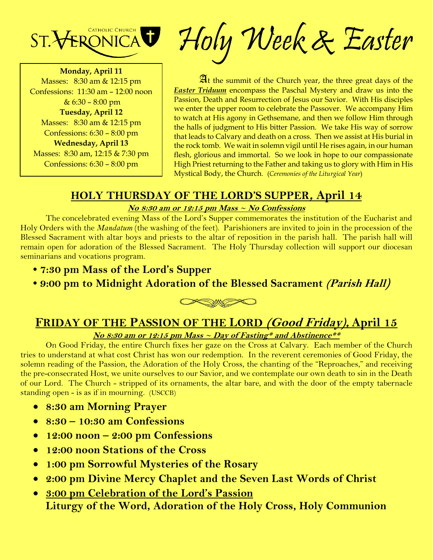

**Monday, April 11** Masses: 8:30 am & 12:15 pm Confessions: 11:30 am – 12:00 noon  $& 6:30 - 8:00 \text{ pm}$ **Tuesday, April 12** Masses: 8:30 am & 12:15 pm Confessions: 6:30 – 8:00 pm **Wednesday, April 13** Masses: 8:30 am, 12:15 & 7:30 pm Confessions: 6:30 – 8:00 pm

Holy Week & Easter

 $\mathfrak{A}$ t the summit of the Church year, the three great days of the *Easter Triduum* encompass the Paschal Mystery and draw us into the Passion, Death and Resurrection of Jesus our Savior. With His disciples we enter the upper room to celebrate the Passover. We accompany Him to watch at His agony in Gethsemane, and then we follow Him through the halls of judgment to His bitter Passion. We take His way of sorrow that leads to Calvary and death on a cross. Then we assist at His burial in the rock tomb. We wait in solemn vigil until He rises again, in our human flesh, glorious and immortal. So we look in hope to our compassionate High Priest returning to the Father and taking us to glory with Him in His Mystical Body, the Church. (*Ceremonies of the Liturgical Year*)

## **HOLY THURSDAY OF THE LORD'S SUPPER, April 14**

#### **No 8:30 am or 12:15 pm Mass ~ No Confessions**

The concelebrated evening Mass of the Lord's Supper commemorates the institution of the Eucharist and Holy Orders with the *Mandatum* (the washing of the feet). Parishioners are invited to join in the procession of the Blessed Sacrament with altar boys and priests to the altar of reposition in the parish hall. The parish hall will remain open for adoration of the Blessed Sacrament. The Holy Thursday collection will support our diocesan seminarians and vocations program.

- **7:30 pm Mass of the Lord's Supper**
- **9:00 pm to Midnight Adoration of the Blessed Sacrament (Parish Hall)**



# **FRIDAY OF THE PASSION OF THE LORD (Good Friday), April 15**

#### **No 8:30 am or 12:15 pm Mass ~ Day of Fasting\* and Abstinence\*\***

On Good Friday, the entire Church fixes her gaze on the Cross at Calvary. Each member of the Church tries to understand at what cost Christ has won our redemption. In the reverent ceremonies of Good Friday, the solemn reading of the Passion, the Adoration of the Holy Cross, the chanting of the "Reproaches," and receiving the pre-consecrated Host, we unite ourselves to our Savior, and we contemplate our own death to sin in the Death of our Lord. The Church - stripped of its ornaments, the altar bare, and with the door of the empty tabernacle standing open - is as if in mourning. (USCCB)

- **8:30 am Morning Prayer**
- **8:30 – 10:30 am Confessions**
- **12:00 noon – 2:00 pm Confessions**
- **12:00 noon Stations of the Cross**
- **1:00 pm Sorrowful Mysteries of the Rosary**
- **2:00 pm Divine Mercy Chaplet and the Seven Last Words of Christ**
- **3:00 pm Celebration of the Lord's Passion Liturgy of the Word, Adoration of the Holy Cross, Holy Communion**